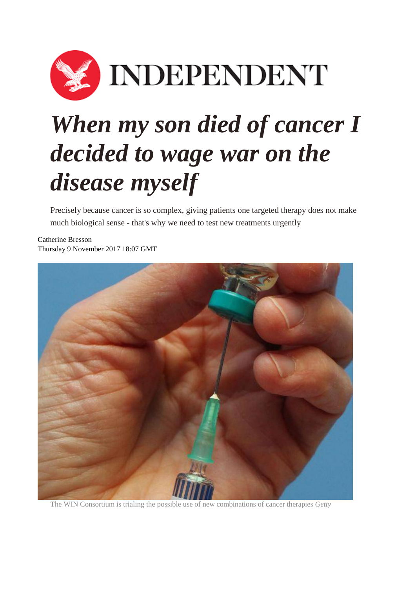

## *When my son died of cancer I decided to wage war on the disease myself*

Precisely because cancer is so complex, giving patients one targeted therapy does not make much biological sense - that's why we need to test new treatments urgently

[Catherine Bresson](http://www.independent.co.uk/author/catherine-bresson) Thursday 9 November 2017 18:07 GMT



The WIN Consortium is trialing the possible use of new combinations of cancer therapies *Getty*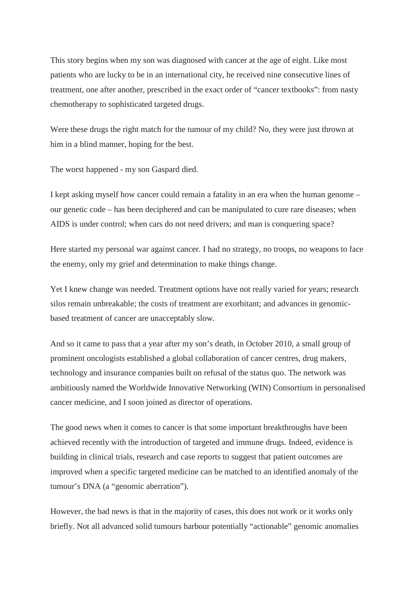This story begins when my son was diagnosed with cancer at the age of eight. Like most patients who are lucky to be in an international city, he received nine consecutive lines of treatment, one after another, prescribed in the exact order of "cancer textbooks": from nasty chemotherapy to sophisticated targeted drugs.

Were these drugs the right match for the tumour of my child? No, they were just thrown at him in a blind manner, hoping for the best.

The worst happened - my son Gaspard died.

I kept asking myself how cancer could remain a fatality in an era when the human genome – our genetic code – has been deciphered and can be manipulated to cure rare diseases; when AIDS is under control; when cars do not need drivers; and man is conquering space?

Here started my personal war against cancer. I had no strategy, no troops, no weapons to face the enemy, only my grief and determination to make things change.

Yet I knew change was needed. Treatment options have not really varied for years; research silos remain unbreakable; the costs of treatment are exorbitant; and advances in genomicbased treatment of cancer are unacceptably slow.

And so it came to pass that a year after my son's death, in October 2010, a small group of prominent oncologists established a global collaboration of cancer centres, drug makers, technology and insurance companies built on refusal of the status quo. The network was ambitiously named the Worldwide Innovative Networking (WIN) Consortium in personalised cancer medicine, and I soon joined as director of operations.

The good news when it comes to cancer is that some important breakthroughs have been achieved recently with the introduction of targeted and immune drugs. Indeed, evidence is building in clinical trials, research and case reports to suggest that patient outcomes are improved when a specific targeted medicine can be matched to an identified anomaly of the tumour's DNA (a "genomic aberration").

However, the bad news is that in the majority of cases, this does not work or it works only briefly. Not all advanced solid tumours harbour potentially "actionable" genomic anomalies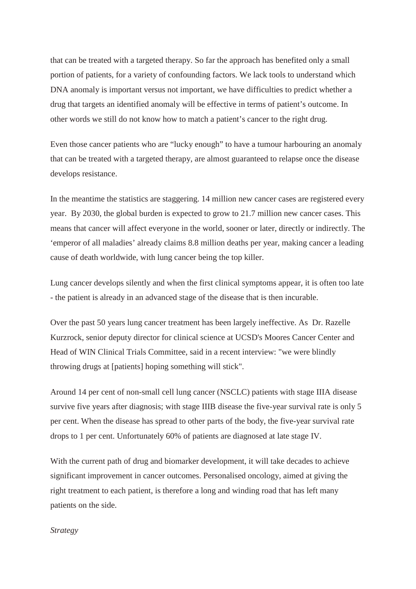that can be treated with a targeted therapy. So far the approach has benefited only a small portion of patients, for a variety of confounding factors. We lack tools to understand which DNA anomaly is important versus not important, we have difficulties to predict whether a drug that targets an identified anomaly will be effective in terms of patient's outcome. In other words we still do not know how to match a patient's cancer to the right drug.

Even those cancer patients who are "lucky enough" to have a tumour harbouring an anomaly that can be treated with a targeted therapy, are almost guaranteed to relapse once the disease develops resistance.

In the meantime the statistics are staggering. 14 million new cancer cases are registered every year. By 2030, the global burden is expected to grow to 21.7 million new cancer cases. This means that cancer will affect everyone in the world, sooner or later, directly or indirectly. The 'emperor of all maladies' already claims 8.8 million deaths per year, making cancer a leading cause of death worldwide, with lung cancer being the top killer.

Lung cancer develops silently and when the first clinical symptoms appear, it is often too late - the patient is already in an advanced stage of the disease that is then incurable.

Over the past 50 years lung cancer treatment has been largely ineffective. As Dr. Razelle Kurzrock, senior deputy director for clinical science at UCSD's Moores Cancer Center and Head of WIN Clinical Trials Committee, said in a recent interview: "we were blindly throwing drugs at [patients] hoping something will stick".

Around 14 per cent of non-small cell lung cancer (NSCLC) patients with stage IIIA disease survive five years after diagnosis; with stage IIIB disease the five-year survival rate is only 5 per cent. When the disease has spread to other parts of the body, the five-year survival rate drops to 1 per cent. Unfortunately 60% of patients are diagnosed at late stage IV.

With the current path of drug and biomarker development, it will take decades to achieve significant improvement in cancer outcomes. Personalised oncology, aimed at giving the right treatment to each patient, is therefore a long and winding road that has left many patients on the side.

## *Strategy*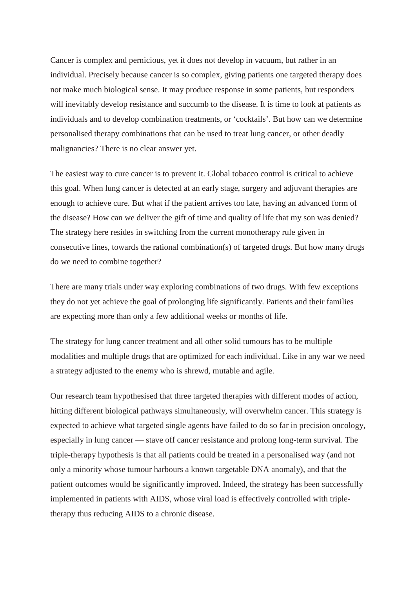Cancer is complex and pernicious, yet it does not develop in vacuum, but rather in an individual. Precisely because cancer is so complex, giving patients one targeted therapy does not make much biological sense. It may produce response in some patients, but responders will inevitably develop resistance and succumb to the disease. It is time to look at patients as individuals and to develop combination treatments, or 'cocktails'. But how can we determine personalised therapy combinations that can be used to treat lung cancer, or other deadly malignancies? There is no clear answer yet.

The easiest way to cure cancer is to prevent it. Global tobacco control is critical to achieve this goal. When lung cancer is detected at an early stage, surgery and adjuvant therapies are enough to achieve cure. But what if the patient arrives too late, having an advanced form of the disease? How can we deliver the gift of time and quality of life that my son was denied? The strategy here resides in switching from the current monotherapy rule given in consecutive lines, towards the rational combination(s) of targeted drugs. But how many drugs do we need to combine together?

There are many trials under way exploring combinations of two drugs. With few exceptions they do not yet achieve the goal of prolonging life significantly. Patients and their families are expecting more than only a few additional weeks or months of life.

The strategy for lung cancer treatment and all other solid tumours has to be multiple modalities and multiple drugs that are optimized for each individual. Like in any war we need a strategy adjusted to the enemy who is shrewd, mutable and agile.

Our research team hypothesised that three targeted therapies with different modes of action, hitting different biological pathways simultaneously, will overwhelm cancer. This strategy is expected to achieve what targeted single agents have failed to do so far in precision oncology, especially in lung cancer — stave off cancer resistance and prolong long-term survival. The triple-therapy hypothesis is that all patients could be treated in a personalised way (and not only a minority whose tumour harbours a known targetable DNA anomaly), and that the patient outcomes would be significantly improved. Indeed, the strategy has been successfully implemented in patients with AIDS, whose viral load is effectively controlled with tripletherapy thus reducing AIDS to a chronic disease.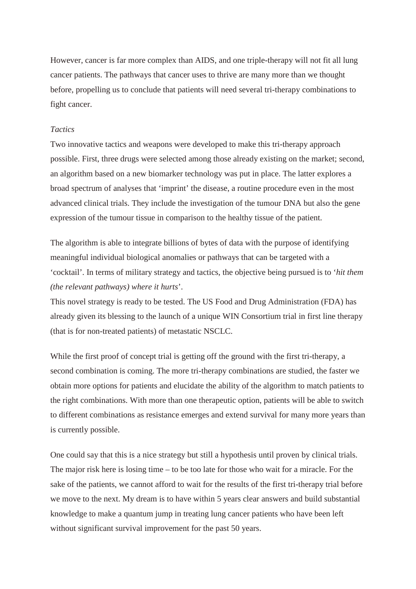However, cancer is far more complex than AIDS, and one triple-therapy will not fit all lung cancer patients. The pathways that cancer uses to thrive are many more than we thought before, propelling us to conclude that patients will need several tri-therapy combinations to fight cancer.

## *Tactics*

Two innovative tactics and weapons were developed to make this tri-therapy approach possible. First, three drugs were selected among those already existing on the market; second, an algorithm based on a new biomarker technology was put in place. The latter explores a broad spectrum of analyses that 'imprint' the disease, a routine procedure even in the most advanced clinical trials. They include the investigation of the tumour DNA but also the gene expression of the tumour tissue in comparison to the healthy tissue of the patient.

The algorithm is able to integrate billions of bytes of data with the purpose of identifying meaningful individual biological anomalies or pathways that can be targeted with a 'cocktail'. In terms of military strategy and tactics, the objective being pursued is to '*hit them (the relevant pathways) where it hurts*'.

This novel strategy is ready to be tested. The US Food and Drug Administration (FDA) has already given its blessing to the launch of a unique WIN Consortium trial in first line therapy (that is for non-treated patients) of metastatic NSCLC.

While the first proof of concept trial is getting off the ground with the first tri-therapy, a second combination is coming. The more tri-therapy combinations are studied, the faster we obtain more options for patients and elucidate the ability of the algorithm to match patients to the right combinations. With more than one therapeutic option, patients will be able to switch to different combinations as resistance emerges and extend survival for many more years than is currently possible.

One could say that this is a nice strategy but still a hypothesis until proven by clinical trials. The major risk here is losing time – to be too late for those who wait for a miracle. For the sake of the patients, we cannot afford to wait for the results of the first tri-therapy trial before we move to the next. My dream is to have within 5 years clear answers and build substantial knowledge to make a quantum jump in treating lung cancer patients who have been left without significant survival improvement for the past 50 years.